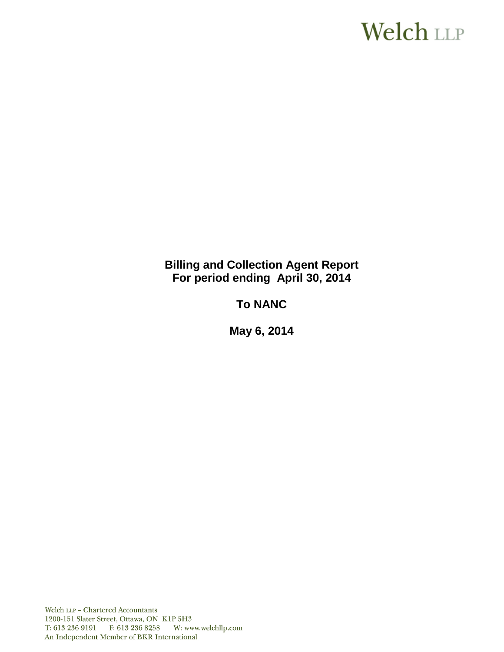# **Welch LLP**

# **Billing and Collection Agent Report For period ending April 30, 2014**

# **To NANC**

**May 6, 2014**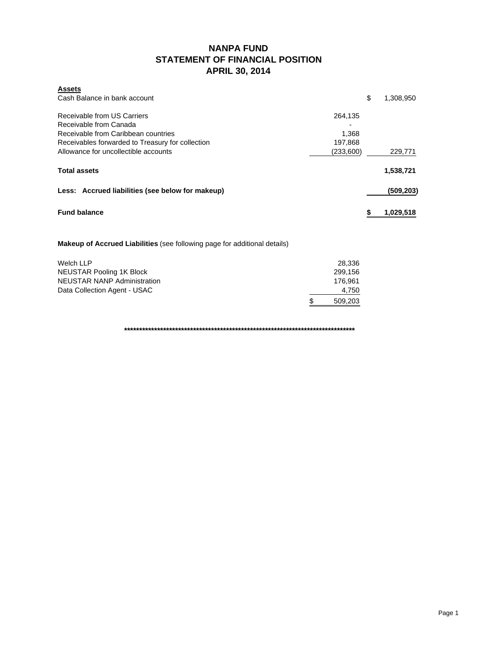# **NANPA FUND STATEMENT OF FINANCIAL POSITION APRIL 30, 2014**

| <b>Assets</b>                                               |                 |
|-------------------------------------------------------------|-----------------|
| Cash Balance in bank account                                | \$<br>1,308,950 |
| Receivable from US Carriers<br>264.135                      |                 |
| Receivable from Canada                                      |                 |
| Receivable from Caribbean countries<br>1.368                |                 |
| 197,868<br>Receivables forwarded to Treasury for collection |                 |
| Allowance for uncollectible accounts<br>(233,600)           | 229,771         |
| <b>Total assets</b>                                         | 1,538,721       |
| Less: Accrued liabilities (see below for makeup)            | (509,203)       |
| <b>Fund balance</b>                                         | 1,029,518       |

**Makeup of Accrued Liabilities** (see following page for additional details)

| Welch LLP                    | 28.336  |  |
|------------------------------|---------|--|
| NEUSTAR Pooling 1K Block     | 299.156 |  |
| NEUSTAR NANP Administration  | 176.961 |  |
| Data Collection Agent - USAC | 4.750   |  |
|                              | 509.203 |  |

**\*\*\*\*\*\*\*\*\*\*\*\*\*\*\*\*\*\*\*\*\*\*\*\*\*\*\*\*\*\*\*\*\*\*\*\*\*\*\*\*\*\*\*\*\*\*\*\*\*\*\*\*\*\*\*\*\*\*\*\*\*\*\*\*\*\*\*\*\*\*\*\*\*\*\*\*\***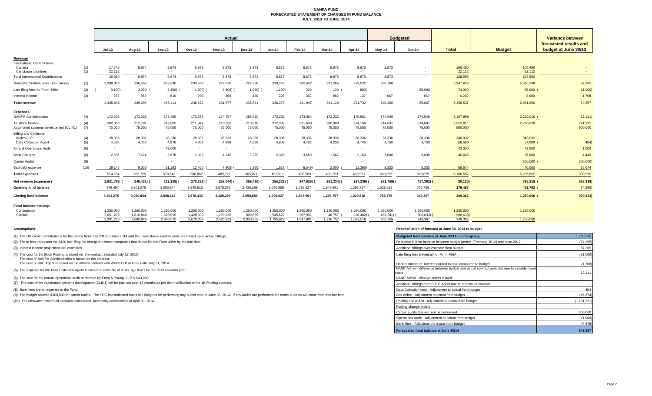### **NANPA FUND FORECASTED STATEMENT OF CHANGES IN FUND BALANCE JULY 2013 TO JUNE 2014**

|                                                                     |            |                        |                        |                        |                        | <b>Actual</b>          |                      |                      |                      |                     |                       |                     | <b>Budgeted</b>     |                      |                   | Variance between                               |
|---------------------------------------------------------------------|------------|------------------------|------------------------|------------------------|------------------------|------------------------|----------------------|----------------------|----------------------|---------------------|-----------------------|---------------------|---------------------|----------------------|-------------------|------------------------------------------------|
|                                                                     |            | <b>Jul-13</b>          | Aug-13                 | Sep-13                 | Oct-13                 | <b>Nov-13</b>          | <b>Dec-13</b>        | $Jan-14$             | Feb-14               | Mar-14              | Apr-14                | Mav-14              | $Jun-14$            | <b>Total</b>         | <b>Budget</b>     | forecasted results and<br>budget at June 30/13 |
| Revenue                                                             |            |                        |                        |                        |                        |                        |                      |                      |                      |                     |                       |                     |                     |                      |                   |                                                |
| <b>International Contributions</b><br>Canada<br>Caribbean countries | (1)<br>(1) | 17,748<br>22.112       | 8,874<br>$\sim$        | 8,874<br>$\sim$        | 8,873                  | 8,873                  | 8,873<br><b>COL</b>  | 8,873<br>$\sim$      | 8,873                | 8,873               | 8,873<br>. .          | 8,873<br>$\sim$     | $\sim$              | 106,480<br>22.112    | 106,480<br>22.112 |                                                |
| <b>Total International Contributions</b>                            |            | 39,860                 | 8,874                  | 8,874                  | 8,873                  | 8,873                  | 8,873                | 8,873                | 8,873                | 8,873               | 8,873                 | 8,873               |                     | 128,592              | 128,592           |                                                |
| Domestic Contributions - US carriers                                | (1)        | 3,398,305              | 256,552                | 459,330                | 230,562                | 227,320                | 227,338              | 230,278              | 232,422              | 231,264             | 223,522               | 230,760             |                     | 5,947,653            | 5,860,288         | 87,365                                         |
| Late filing fees for Form 499A                                      | (2)        | 3,100                  | 3,000                  | 2,400)                 | $1,200$ )              | 4,800)                 | 1,000                | 1,100                | 300                  | 100                 | 800)                  |                     | 85,000              | 74,000               | 85,000            | 11,000                                         |
| Interest income                                                     | (3)        | 877                    | 868                    | 610                    | 290                    | 284                    | 430                  | 228                  | 352                  | 882                 | 137                   | 667                 | 667                 | 6,292                | 8.000             | 1,708                                          |
| Total revenue                                                       |            | 3,435,942              | 269,294                | 466.414                | 238.525                | 231,677                | 235,641              | 238,279              | 241.947              | 241.119             | 231,732               | 240,300             | 85.667              | 6,156,537            | 6,081,880         | 74,657                                         |
| <b>Expenses</b>                                                     |            |                        |                        |                        |                        |                        |                      |                      |                      |                     |                       |                     |                     |                      |                   |                                                |
| <b>NANPA Administration</b>                                         | (4)        | 172,232                | 172,232                | 173,465                | 173,256                | 174,797                | 288,310              | 172,232              | 173,084              | 172,232             | 176,961               | 174,549             | 174,549             | 2,197,899            | 2,210,010 (       | 12, 111)                                       |
| 1K Block Pooling<br>Automated systems development (CLIN1)           | (4)<br>(7) | 202,036<br>75,000      | 212,781<br>75,000      | 219,005<br>75,000      | 211,941<br>75,000      | 210,350<br>75,000      | 210,618<br>75,000    | 212,332<br>75,000    | 211,630<br>75,000    | 208,980<br>75,000   | 224,156<br>75,000     | 214,091<br>75,000   | 214.091<br>75,000   | 2,552,011<br>900,000 | 2,260,620         | 291,391<br>900,000                             |
| <b>Billing and Collection</b><br>Welch LLP<br>Data Collection Agent | (4)<br>(5) | 28,336<br>4,568        | 28,336<br>4,752        | 28,336<br>4,976        | 28,336<br>4,851        | 28,336<br>4,898        | 28,336<br>4,828      | 28,336<br>4,808      | 28,336<br>4,432      | 28,336<br>4,238     | 28,336<br>4,745       | 28,336<br>4,750     | 28,336<br>4,750     | 340,032<br>56,596    | 340,032<br>57,000 | 404)                                           |
| <b>Annual Operations Audit</b>                                      | (6)        | $\sim$                 | $\sim$                 | 43,000                 | $\sim$                 | $\sim$                 | ۰.                   | $\sim$               |                      | $\sim$              | $\sim$                |                     | $\sim$              | 43,000               | 42,000            | 1,000                                          |
| <b>Bank Charges</b>                                                 | (8)        | 2,836                  | 7,624                  | 3,678                  | 3,023                  | 4.245                  | 3,339                | 2,320                | 3,650                | 1,567               | 2,163                 | 3,000               | 3,000               | 40,445               | 36,000            | 4,445                                          |
| Carrier Audits                                                      | (9)        | ٠                      | $\sim$                 | $\sim$                 |                        | $\sim$                 | ۰.                   |                      |                      | $\sim$              |                       |                     |                     |                      | 300,000           | 300,000)                                       |
| Bad debt expense                                                    | (10)       | 29,146                 | 9,000                  | 31,183                 | 12,400                 | 7,905)                 | 5,360)               | 1,517                | 6,549                | 2,000               | 12,390)               | 3,333               | 3,333               | 56,674               | 40,000            | 16,674                                         |
| <b>Total expenses</b>                                               |            | 514,154                | 509,725                | 578,643                | 508,807                | 489,721                | 605,071              | 493,511              | 489,583              | 492,353             | 498,971               | 503,059             | 503,059             | 6,186,657            | 5,285,662         | 900,995                                        |
| Net revenue (expenses)                                              |            | 2,921,788              | 240,431)               | 112,229)               | 270,282) (             | 258,044)               | 369,430)             | 255,232)             | 247,636) (           | 251,234) (          | 267,239)              | 262,759) (          | 417,392)            | 30,120)              | 796,218 (         | 826,338)                                       |
| <b>Opening fund balance</b>                                         |            | 379,487                | 3,301,275              | 3.060.844              | 2,948,615              | 2.678.333              | 2,420,289            | 2.050.859            | 1.795.627            | 1.547.991           | 1,296,757             | 1,029,518           | 766.759             | 379,487              | 453,782           | 74.295)                                        |
| <b>Closing fund balance</b>                                         |            | 3,301,275              | 3.060.844              | 2,948,615              | 2,678,333              | 2.420.289              | 2,050,859            | 1,795,627            | 1,547,991            | 1,296,757           | 1,029,518             | 766,759             | 349.367             | 349,367              | 1,250,000         | 900,633                                        |
| Fund balance makeup:<br>Contingency                                 |            | 1,250,000              | 1,250,000              | 1,250,000              | 1,250,000              | 1,250,000              | 1,250,000            | 1,250,000            | 1,250,000            | 1,250,000           | 1,250,000             | 1,250,000           | 1,250,000           | 1,250,000            | 1,250,000         |                                                |
| Surplus                                                             |            | 2,051,275<br>3,301,275 | 1,810,844<br>3,060,844 | 1,698,615<br>2,948,615 | 1,428,333<br>2,678,333 | 1,170,289<br>2,420,289 | 800,859<br>2,050,859 | 545,627<br>1,795,627 | 297,991<br>1,547,991 | 46,757<br>1,296,757 | 220,482)<br>1,029,518 | 483,241)<br>766,759 | 900,633)<br>349.367 | 900,633)<br>349.367  | 1,250,000         |                                                |
|                                                                     |            |                        |                        |                        |                        |                        |                      |                      |                      |                     |                       |                     |                     |                      |                   |                                                |

**(1)** The US carrier contributions for the period from July 2013 to June 2014 and the International contributions are based upon actual billings.

(2) These fees represent the \$100 late filing fee charged to those companies that do not file the Form 499A by the due date.

**(3)** Interest income projections are estimates

**(4)** The cost for 1K Block Pooling is based on the contract awarded July 12, 2013

The cost of NANPA Administration is based on the contract. The cost of B&C Agent is based on the interim contract with Welch LLP in force until July 31, 2014

**(5)** The expense for the Data Collection Agent is based on estimate of costs by USAC for the 2013 calendar year.

**(6)** The cost for the annual operations audit performed by Ernst & Young LLP is \$43,000.

**(7)** The cost of the Automated systems development (CLIN1) will be paid out over 18 months as per the modification to the 1K Pooling contract.

**(8)** Bank fees are an expense to the Fund.

(9) The budget allowed \$300,000 for carrier audits. The FCC has indicated that it will likely not be performing any audits prior to June 30, 2014. If any audits are performed the funds to do so will come from this line ite

**(10)** The allowance covers all accounts considered potentially uncollectible at April 30, 2014.

#### **Assumptions: Reconciliation of forecast at June 30, 2014 to budget**

| Budgeted fund balance at June 30/14 - contingency                                                  | 1,250,000     |
|----------------------------------------------------------------------------------------------------|---------------|
| Decrease in fund balance between budget period (February 2012) and June 2012                       | (74, 295)     |
| Additional billings over estimate from budget                                                      | 87,365        |
| Late filing fees (reversal) for Form 499A                                                          | (11,000)      |
| Underestimate of interest earned to date compared to budget                                        | (1,708)       |
| NANP Admin - difference between budget and actual contract awarded due to variable travel<br>costs | 12,111        |
| NANP Admin - change orders issued                                                                  |               |
| Additional billings from B & C Agent due to renewal of contract                                    |               |
| Data Collection fees - Adjustment to actual from budget                                            | 404           |
| Bad debts - Adjustment to actual from budget                                                       | (16, 674)     |
| Pooling and p-ANI - adjustment to actual from budget                                               | (1, 191, 391) |
| Pooling change orders                                                                              |               |
| Carrier audits that will not be performed                                                          | 300,000       |
| Operations Audit - Adjustment to actual from budget                                                | (1,000)       |
| Bank fees - Adjustment to actual from budget                                                       | (4, 445)      |
| Forecasted fund balance at June 30/14                                                              | 349.367       |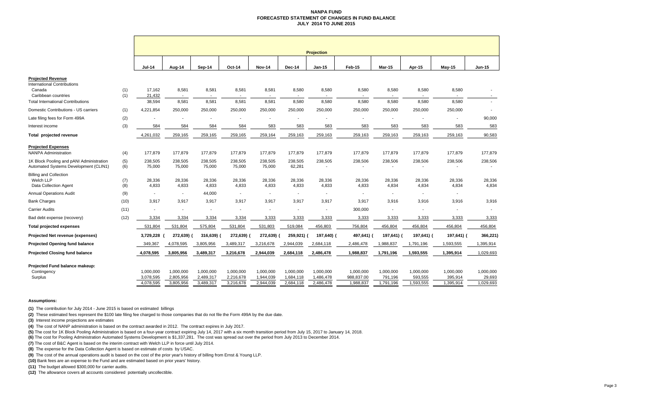### **NANPA FUND FORECASTED STATEMENT OF CHANGES IN FUND BALANCEJULY 2014 TO JUNE 2015**

|                                                                                   |            | <b>Projection</b>                   |                                     |                                     |                                     |                                     |                                     |                                     |                                      |                                   |                                   |                                   |                                  |
|-----------------------------------------------------------------------------------|------------|-------------------------------------|-------------------------------------|-------------------------------------|-------------------------------------|-------------------------------------|-------------------------------------|-------------------------------------|--------------------------------------|-----------------------------------|-----------------------------------|-----------------------------------|----------------------------------|
|                                                                                   |            | <b>Jul-14</b>                       | Aug-14                              | Sep-14                              | Oct-14                              | <b>Nov-14</b>                       | Dec-14                              | Jan-15                              | Feb-15                               | <b>Mar-15</b>                     | Apr-15                            | $May-15$                          | Jun-15                           |
| <b>Projected Revenue</b>                                                          |            |                                     |                                     |                                     |                                     |                                     |                                     |                                     |                                      |                                   |                                   |                                   |                                  |
| <b>International Contributions</b><br>Canada<br>Caribbean countries               | (1)<br>(1) | 17.162<br>21,432                    | 8,581<br>$\sim$                     | 8,581<br>$\sim$                     | 8,581                               | 8,581                               | 8,580                               | 8,580                               | 8,580<br>$\sim$                      | 8,580                             | 8,580                             | 8,580                             | $\sim$                           |
| <b>Total International Contributions</b>                                          |            | 38,594                              | 8,581                               | 8,581                               | 8,581                               | 8,581                               | 8,580                               | 8,580                               | 8,580                                | 8,580                             | 8,580                             | 8,580                             | ÷.                               |
| Domestic Contributions - US carriers                                              | (1)        | 4,221,854                           | 250,000                             | 250,000                             | 250,000                             | 250,000                             | 250,000                             | 250,000                             | 250,000                              | 250,000                           | 250,000                           | 250,000                           |                                  |
| Late filing fees for Form 499A                                                    | (2)        |                                     |                                     |                                     |                                     | $\overline{\phantom{a}}$            | $\overline{\phantom{m}}$            | $\overline{\phantom{a}}$            |                                      | $\blacksquare$                    |                                   |                                   | 90,000                           |
| Interest income                                                                   | (3)        | 584                                 | 584                                 | 584                                 | 584                                 | 583                                 | 583                                 | 583                                 | 583                                  | 583                               | 583                               | 583                               | 583                              |
| Total projected revenue                                                           |            | 4,261,032                           | 259,165                             | 259,165                             | 259,165                             | 259,164                             | 259,163                             | 259,163                             | 259,163                              | 259,163                           | 259,163                           | 259,163                           | 90,583                           |
| <b>Projected Expenses</b><br><b>NANPA Administration</b>                          | (4)        | 177,879                             | 177,879                             | 177,879                             | 177,879                             | 177,879                             | 177,879                             | 177,879                             | 177,879                              | 177,879                           | 177,879                           | 177,879                           | 177,879                          |
| 1K Block Pooling and pANI Administration<br>Automated Systems Development (CLIN1) | (5)<br>(6) | 238,505<br>75,000                   | 238,505<br>75,000                   | 238.505<br>75,000                   | 238,505<br>75,000                   | 238,505<br>75,000                   | 238.505<br>62,281                   | 238,505                             | 238,506<br>$\sim$                    | 238,506                           | 238,506                           | 238,506                           | 238,506                          |
| <b>Billing and Collection</b><br>Welch LLP<br><b>Data Collection Agent</b>        | (7)<br>(8) | 28,336<br>4,833                     | 28,336<br>4,833                     | 28,336<br>4,833                     | 28,336<br>4,833                     | 28,336<br>4,833                     | 28,336<br>4,833                     | 28,336<br>4,833                     | 28,336<br>4,833                      | 28,336<br>4,834                   | 28,336<br>4,834                   | 28,336<br>4,834                   | 28,336<br>4,834                  |
| <b>Annual Operations Audit</b>                                                    | (9)        | $\sim$                              | $\sim$                              | 44,000                              |                                     | $\overline{\phantom{a}}$            | $\overline{\phantom{a}}$            | $\overline{\phantom{a}}$            | $\overline{\phantom{a}}$             | $\overline{\phantom{a}}$          | $\sim$                            | $\sim$                            |                                  |
| <b>Bank Charges</b>                                                               | (10)       | 3,917                               | 3,917                               | 3,917                               | 3,917                               | 3,917                               | 3,917                               | 3,917                               | 3,917                                | 3,916                             | 3,916                             | 3,916                             | 3,916                            |
| <b>Carrier Audits</b>                                                             | (11)       |                                     |                                     |                                     |                                     | $\blacksquare$                      | $\blacksquare$                      | ÷,                                  | 300,000                              |                                   |                                   | $\overline{\phantom{a}}$          |                                  |
| Bad debt expense (recovery)                                                       | (12)       | 3,334                               | 3,334                               | 3,334                               | 3,334                               | 3,333                               | 3,333                               | 3,333                               | 3,333                                | 3,333                             | 3,333                             | 3,333                             | 3,333                            |
| <b>Total projected expenses</b>                                                   |            | 531,804                             | 531,804                             | 575,804                             | 531,804                             | 531,803                             | 519,084                             | 456,803                             | 756,804                              | 456,804                           | 456,804                           | 456,804                           | 456,804                          |
| Projected Net revenue (expenses)                                                  |            | 3,729,228                           | 272,639)                            | 316,639)                            | 272,639) (                          | 272,639)                            | 259,921)                            | 197,640) (                          | 497,641) (                           | 197,641) (                        | 197,641) (                        | 197,641) (                        | 366,221)                         |
| <b>Projected Opening fund balance</b>                                             |            | 349,367                             | 4,078,595                           | 3,805,956                           | 3,489,317                           | 3,216,678                           | 2,944,039                           | 2,684,118                           | 2,486,478                            | 1,988,837                         | 1,791,196                         | 1,593,555                         | 1,395,914                        |
| <b>Projected Closing fund balance</b>                                             |            | 4,078,595                           | 3,805,956                           | 3,489,317                           | 3,216,678                           | 2,944,039                           | 2,684,118                           | 2,486,478                           | 1,988,837                            | 1,791,196                         | 1,593,555                         | 1,395,914                         | 1,029,693                        |
| Projected Fund balance makeup:<br>Contingency<br>Surplus                          |            | 1,000,000<br>3,078,595<br>4,078,595 | 1,000,000<br>2,805,956<br>3,805,956 | 1,000,000<br>2,489,317<br>3,489,317 | 1,000,000<br>2,216,678<br>3,216,678 | 1,000,000<br>1,944,039<br>2,944,039 | 1.000.000<br>1,684,118<br>2,684,118 | 1,000,000<br>1,486,478<br>2,486,478 | 1,000,000<br>988,837.00<br>1,988,837 | 1,000,000<br>791,196<br>1,791,196 | 1,000,000<br>593,555<br>1,593,555 | 1,000,000<br>395,914<br>1,395,914 | 1,000,000<br>29,693<br>1,029,693 |

#### **Assumptions:**

**(1)** The contribution for July 2014 - June 2015 is based on estimated billings

**(2)** These estimated fees represent the \$100 late filing fee charged to those companies that do not file the Form 499A by the due date.

**(3)** Interest income projections are estimates

**(4)** The cost of NANP administration is based on the contract awarded in 2012. The contract expires in July 2017.

**(5)** The cost for 1K Block Pooling Administration is based on a four-year contract expiring July 14, 2017 with a six month transition period from July 15, 2017 to January 14, 2018.

**(6)** The cost for Pooling Administration Automated Systems Development is \$1,337,281. The cost was spread out over the period from July 2013 to December 2014.

**(7)** The cost of B&C Agent is based on the interim contract with Welch LLP in force until July 2014.

**(8)** The expense for the Data Collection Agent is based on estimate of costs by USAC.

**(9)** The cost of the annual operations audit is based on the cost of the prior year's history of billing from Ernst & Young LLP.

**(10)** Bank fees are an expense to the Fund and are estimated based on prior years' history.

**(11)** The budget allowed \$300,000 for carrier audits.

**(12)** The allowance covers all accounts considered potentially uncollectible.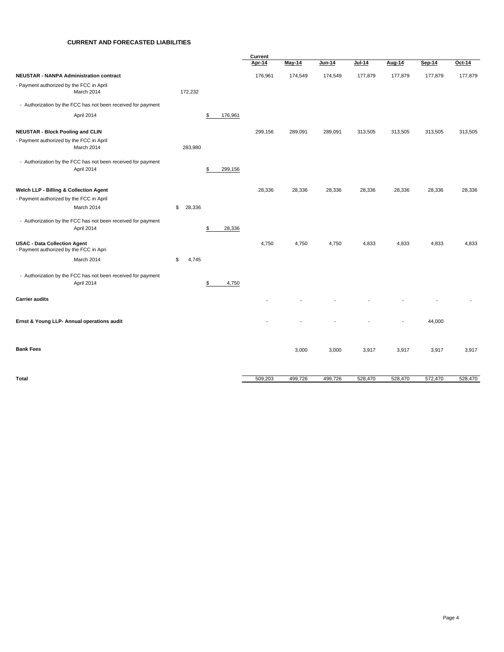## **CURRENT AND FORECASTED LIABILITIES**

|                                                                                |              |               | Current |               |         |               |         |         |         |
|--------------------------------------------------------------------------------|--------------|---------------|---------|---------------|---------|---------------|---------|---------|---------|
|                                                                                |              |               | Apr-14  | <b>May-14</b> | Jun-14  | <b>Jul-14</b> | Aug-14  | Sep-14  | Oct-14  |
| <b>NEUSTAR - NANPA Administration contract</b>                                 |              |               | 176,961 | 174,549       | 174,549 | 177,879       | 177,879 | 177,879 | 177,879 |
| - Payment authorized by the FCC in April<br>March 2014                         | 172,232      |               |         |               |         |               |         |         |         |
| - Authorization by the FCC has not been received for payment                   |              |               |         |               |         |               |         |         |         |
| April 2014                                                                     |              | 176,961<br>\$ |         |               |         |               |         |         |         |
| <b>NEUSTAR - Block Pooling and CLIN</b>                                        |              |               | 299,156 | 289,091       | 289,091 | 313,505       | 313,505 | 313,505 | 313,505 |
| - Payment authorized by the FCC in April<br>March 2014                         | 283,980      |               |         |               |         |               |         |         |         |
| - Authorization by the FCC has not been received for payment<br>April 2014     |              | \$<br>299,156 |         |               |         |               |         |         |         |
| Welch LLP - Billing & Collection Agent                                         |              |               | 28,336  | 28,336        | 28,336  | 28,336        | 28,336  | 28,336  | 28,336  |
| - Payment authorized by the FCC in April                                       |              |               |         |               |         |               |         |         |         |
| March 2014                                                                     | \$<br>28,336 |               |         |               |         |               |         |         |         |
| - Authorization by the FCC has not been received for payment<br>April 2014     |              | 28,336<br>\$  |         |               |         |               |         |         |         |
| <b>USAC - Data Collection Agent</b><br>- Payment authorized by the FCC in Apri |              |               | 4,750   | 4,750         | 4,750   | 4,833         | 4,833   | 4,833   | 4,833   |
| March 2014                                                                     | 4,745<br>\$  |               |         |               |         |               |         |         |         |
| - Authorization by the FCC has not been received for payment<br>April 2014     |              | \$<br>4,750   |         |               |         |               |         |         |         |
| <b>Carrier audits</b>                                                          |              |               |         |               |         |               |         |         |         |
| Ernst & Young LLP- Annual operations audit                                     |              |               |         |               |         |               |         | 44,000  |         |
| <b>Bank Fees</b>                                                               |              |               |         | 3,000         | 3,000   | 3,917         | 3,917   | 3,917   | 3,917   |
| Total                                                                          |              |               | 509,203 | 499,726       | 499,726 | 528,470       | 528,470 | 572,470 | 528,470 |